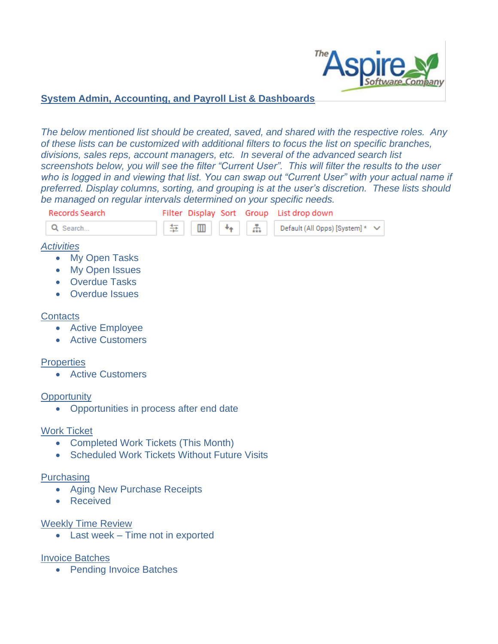

## **System Admin, Accounting, and Payroll List & Dashboards**

*The below mentioned list should be created, saved, and shared with the respective roles. Any of these lists can be customized with additional filters to focus the list on specific branches, divisions, sales reps, account managers, etc. In several of the advanced search list screenshots below, you will see the filter "Current User". This will filter the results to the user*  who is logged in and viewing that list. You can swap out "Current User" with your actual name if *preferred. Display columns, sorting, and grouping is at the user's discretion. These lists should be managed on regular intervals determined on your specific needs.* 



- Completed Work Tickets (This Month)
- Scheduled Work Tickets Without Future Visits

#### Purchasing

- Aging New Purchase Receipts
- Received

#### Weekly Time Review

• Last week – Time not in exported

## Invoice Batches

• Pending Invoice Batches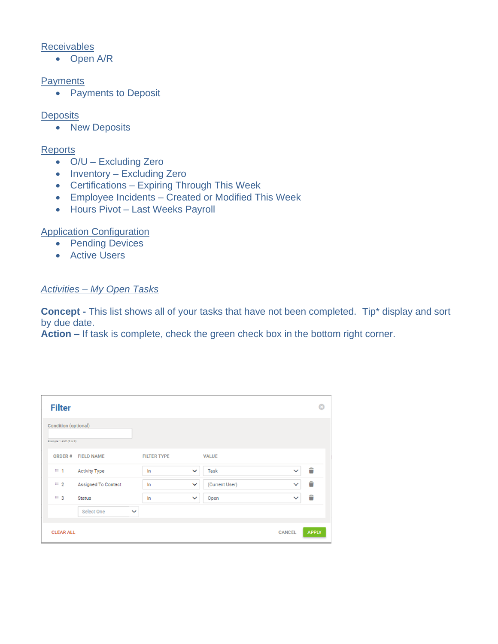## **Receivables**

• Open A/R

#### **Payments**

• Payments to Deposit

## **Deposits**

• New Deposits

## Reports

- O/U Excluding Zero
- Inventory Excluding Zero
- Certifications Expiring Through This Week
- Employee Incidents Created or Modified This Week
- Hours Pivot Last Weeks Payroll

## Application Configuration

- Pending Devices
- Active Users

## *Activities – My Open Tasks*

**Concept -** This list shows all of your tasks that have not been completed. Tip\* display and sort by due date.

**Action –** If task is complete, check the green check box in the bottom right corner.

| <b>Filter</b>                                          |                            |              |                    |              |                |               | ය            |
|--------------------------------------------------------|----------------------------|--------------|--------------------|--------------|----------------|---------------|--------------|
| <b>Condition (optional)</b><br>Example: 1 AND (2 or 3) |                            |              |                    |              |                |               |              |
| ORDER#                                                 | <b>FIELD NAME</b>          |              | <b>FILTER TYPE</b> |              | <b>VALUE</b>   |               |              |
| Ⅲ 1                                                    | <b>Activity Type</b>       |              | In                 | $\checkmark$ | Task           | $\checkmark$  | Ê            |
| $\mathbb{H}$ 2                                         | <b>Assigned To Contact</b> |              | In                 | $\checkmark$ | (Current User) | $\checkmark$  | Ê            |
| Ⅲ 3                                                    | <b>Status</b>              |              | In                 | $\checkmark$ | Open           | $\checkmark$  | Ê            |
|                                                        | Select One                 | $\checkmark$ |                    |              |                |               |              |
| <b>CLEAR ALL</b>                                       |                            |              |                    |              |                | <b>CANCEL</b> | <b>APPLY</b> |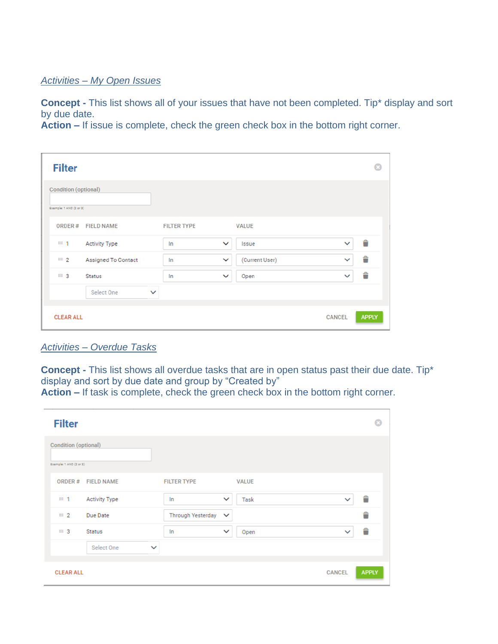## *Activities – My Open Issues*

**Concept -** This list shows all of your issues that have not been completed. Tip\* display and sort by due date.

**Action –** If issue is complete, check the green check box in the bottom right corner.

| <b>Filter</b>               |                      |              |                    |              |                |               |              |
|-----------------------------|----------------------|--------------|--------------------|--------------|----------------|---------------|--------------|
| <b>Condition (optional)</b> |                      |              |                    |              |                |               |              |
| Example: 1 AND (2 or 3)     |                      |              |                    |              |                |               |              |
| ORDER#                      | <b>FIELD NAME</b>    |              | <b>FILTER TYPE</b> |              | <b>VALUE</b>   |               |              |
| $H_1$ 1                     | <b>Activity Type</b> |              | In                 | $\checkmark$ | Issue          | $\checkmark$  | Ê            |
| $\mathbb{H}$ 2              | Assigned To Contact  |              | In                 | $\checkmark$ | (Current User) | $\checkmark$  | Ê            |
| ≡ 3                         | <b>Status</b>        |              | In                 | $\checkmark$ | Open           | $\checkmark$  | Ê            |
|                             | Select One           | $\checkmark$ |                    |              |                |               |              |
| <b>CLEAR ALL</b>            |                      |              |                    |              |                | <b>CANCEL</b> | <b>APPLY</b> |

*Activities – Overdue Tasks*

**Concept -** This list shows all overdue tasks that are in open status past their due date. Tip\* display and sort by due date and group by "Created by"

**Action –** If task is complete, check the green check box in the bottom right corner.

| <b>Filter</b>                                   |                      |              |                          |              |              |               | Ω            |
|-------------------------------------------------|----------------------|--------------|--------------------------|--------------|--------------|---------------|--------------|
| Condition (optional)<br>Example: 1 AND (2 or 3) |                      |              |                          |              |              |               |              |
| ORDER#                                          | <b>FIELD NAME</b>    |              | <b>FILTER TYPE</b>       |              | <b>VALUE</b> |               |              |
| $\mathbb{H} \mathbb{H}$<br>1                    | <b>Activity Type</b> |              | In                       | $\checkmark$ | Task         | $\checkmark$  | Ê            |
| $\mathbb{H}$ 2                                  | Due Date             |              | <b>Through Yesterday</b> | $\checkmark$ |              |               | Ê            |
| <b>III</b> 3                                    | <b>Status</b>        |              | In                       | $\checkmark$ | Open         | $\checkmark$  | û            |
|                                                 | Select One           | $\checkmark$ |                          |              |              |               |              |
| <b>CLEAR ALL</b>                                |                      |              |                          |              |              | <b>CANCEL</b> | <b>APPLY</b> |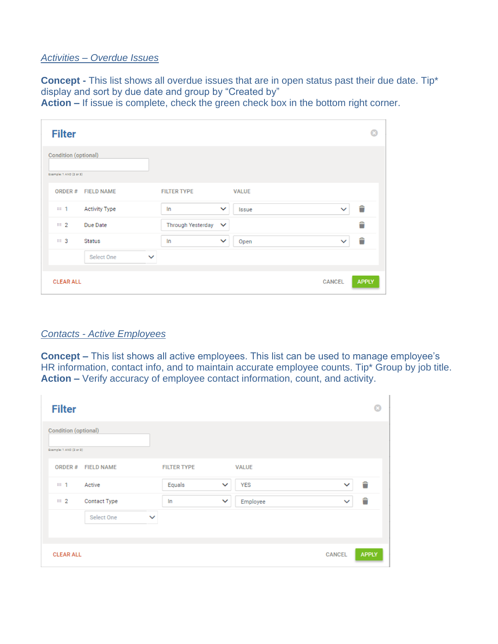#### *Activities – Overdue Issues*

**Concept -** This list shows all overdue issues that are in open status past their due date. Tip\* display and sort by due date and group by "Created by"

**Action –** If issue is complete, check the green check box in the bottom right corner.

| <b>Filter</b>                                          |                          |                       | ය                             |
|--------------------------------------------------------|--------------------------|-----------------------|-------------------------------|
| <b>Condition (optional)</b><br>Example: 1 AND (2 or 2) |                          |                       |                               |
| ORDER#<br><b>FIELD NAME</b>                            | <b>FILTER TYPE</b>       | <b>VALUE</b>          |                               |
| <b>Activity Type</b><br>III 1                          | In                       | $\checkmark$<br>Issue | Ê<br>$\checkmark$             |
| $\mathbb{H}$ 2<br>Due Date                             | <b>Through Yesterday</b> | $\checkmark$          | Ê                             |
| <b>EII</b> 3<br><b>Status</b>                          | In                       | $\checkmark$<br>Open  | Ê<br>$\checkmark$             |
| Select One                                             | $\checkmark$             |                       |                               |
| <b>CLEAR ALL</b>                                       |                          |                       | <b>APPLY</b><br><b>CANCEL</b> |

#### *Contacts - Active Employees*

**Concept –** This list shows all active employees. This list can be used to manage employee's HR information, contact info, and to maintain accurate employee counts. Tip\* Group by job title. **Action –** Verify accuracy of employee contact information, count, and activity.

| <b>Filter</b>                                   |                   |                    |              |              |               | Ω            |
|-------------------------------------------------|-------------------|--------------------|--------------|--------------|---------------|--------------|
| Condition (optional)<br>Example: 1 AND (2 or 3) |                   |                    |              |              |               |              |
| ORDER#                                          | <b>FIELD NAME</b> | <b>FILTER TYPE</b> |              | <b>VALUE</b> |               |              |
| <b>III</b> 1                                    | Active            | Equals             | $\checkmark$ | <b>YES</b>   | $\checkmark$  | Ê            |
| $\equiv 2$                                      | Contact Type      | In                 | $\checkmark$ | Employee     | $\checkmark$  | Ê            |
|                                                 | Select One        | $\checkmark$       |              |              |               |              |
|                                                 |                   |                    |              |              |               |              |
| <b>CLEAR ALL</b>                                |                   |                    |              |              | <b>CANCEL</b> | <b>APPLY</b> |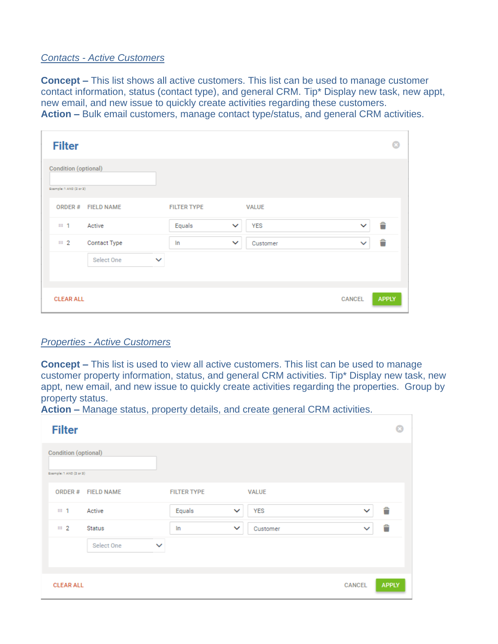#### *Contacts - Active Customers*

**Concept –** This list shows all active customers. This list can be used to manage customer contact information, status (contact type), and general CRM. Tip\* Display new task, new appt, new email, and new issue to quickly create activities regarding these customers. **Action –** Bulk email customers, manage contact type/status, and general CRM activities.

| <b>Filter</b>               |                            |                    |                          |               |              |
|-----------------------------|----------------------------|--------------------|--------------------------|---------------|--------------|
| <b>Condition (optional)</b> |                            |                    |                          |               |              |
| Example: 1 AND (2 or 3)     |                            |                    |                          |               |              |
| ORDER#                      | <b>FIELD NAME</b>          | <b>FILTER TYPE</b> | <b>VALUE</b>             |               |              |
| III 1                       | Active                     | Equals             | YES<br>$\checkmark$      | $\checkmark$  | Ê            |
| $\cdots$ 2                  | Contact Type               | In                 | $\checkmark$<br>Customer | $\checkmark$  | Ê            |
|                             | Select One<br>$\checkmark$ |                    |                          |               |              |
|                             |                            |                    |                          |               |              |
|                             |                            |                    |                          |               |              |
| <b>CLEAR ALL</b>            |                            |                    |                          | <b>CANCEL</b> | <b>APPLY</b> |

#### *Properties - Active Customers*

**Concept –** This list is used to view all active customers. This list can be used to manage customer property information, status, and general CRM activities. Tip\* Display new task, new appt, new email, and new issue to quickly create activities regarding the properties. Group by property status.

T.

**Action –** Manage status, property details, and create general CRM activities.

| <b>Filter</b>                                   |              |                        |              |               |              |
|-------------------------------------------------|--------------|------------------------|--------------|---------------|--------------|
| Condition (optional)<br>Example: 1 AND (2 or 2) |              |                        |              |               |              |
| ORDER#<br><b>FIELD NAME</b>                     |              | <b>FILTER TYPE</b>     | <b>VALUE</b> |               |              |
| Active<br><b>田</b> 1                            |              | Equals<br>$\checkmark$ | <b>YES</b>   | $\checkmark$  | Ê            |
| <b>III</b> 2<br><b>Status</b>                   |              | In<br>$\checkmark$     | Customer     | $\checkmark$  | Ê            |
| Select One                                      | $\checkmark$ |                        |              |               |              |
| <b>CLEAR ALL</b>                                |              |                        |              | <b>CANCEL</b> | <b>APPLY</b> |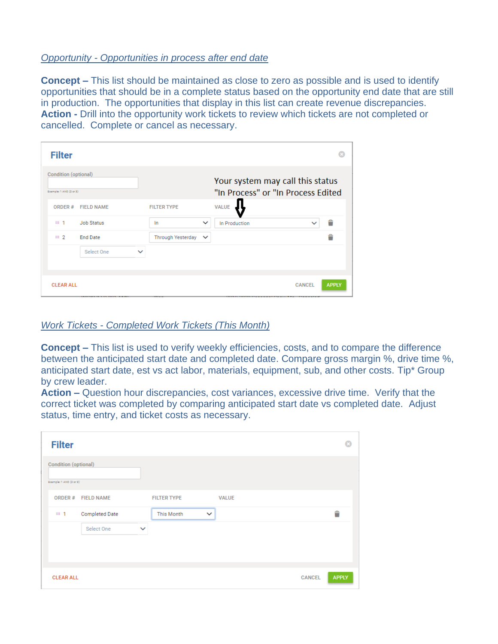#### *Opportunity - Opportunities in process after end date*

**Concept –** This list should be maintained as close to zero as possible and is used to identify opportunities that should be in a complete status based on the opportunity end date that are still in production. The opportunities that display in this list can create revenue discrepancies. **Action -** Drill into the opportunity work tickets to review which tickets are not completed or cancelled. Complete or cancel as necessary.

| <b>Filter</b>                                          |                   |                          |              |                                                                        |              |
|--------------------------------------------------------|-------------------|--------------------------|--------------|------------------------------------------------------------------------|--------------|
| <b>Condition (optional)</b><br>Example: 1 AND (2 or 2) |                   |                          |              | Your system may call this status<br>"In Process" or "In Process Edited |              |
| ORDER#                                                 | <b>FIELD NAME</b> | <b>FILTER TYPE</b>       |              | <b>VALUE</b>                                                           |              |
| III 1                                                  | <b>Job Status</b> | In                       | $\checkmark$ | In Production<br>$\checkmark$                                          | Ê            |
| $\equiv 2$                                             | <b>End Date</b>   | <b>Through Yesterday</b> | $\checkmark$ |                                                                        | ≙            |
|                                                        | Select One        | $\checkmark$             |              |                                                                        |              |
| <b>CLEAR ALL</b>                                       |                   |                          |              | <b>CANCEL</b>                                                          | <b>APPLY</b> |

## *Work Tickets - Completed Work Tickets (This Month)*

**Concept –** This list is used to verify weekly efficiencies, costs, and to compare the difference between the anticipated start date and completed date. Compare gross margin %, drive time %, anticipated start date, est vs act labor, materials, equipment, sub, and other costs. Tip\* Group by crew leader.

**Action –** Question hour discrepancies, cost variances, excessive drive time. Verify that the correct ticket was completed by comparing anticipated start date vs completed date. Adjust status, time entry, and ticket costs as necessary.

| <b>Filter</b>           |                       |              |                    |              |              |               |              |
|-------------------------|-----------------------|--------------|--------------------|--------------|--------------|---------------|--------------|
| Condition (optional)    |                       |              |                    |              |              |               |              |
| Example: 1 AND (2 or 2) |                       |              |                    |              |              |               |              |
|                         | ORDER # FIELD NAME    |              | <b>FILTER TYPE</b> |              | <b>VALUE</b> |               |              |
| <b>田</b> 1              | <b>Completed Date</b> |              | <b>This Month</b>  | $\checkmark$ |              |               | Ê            |
|                         | Select One            | $\checkmark$ |                    |              |              |               |              |
|                         |                       |              |                    |              |              |               |              |
|                         |                       |              |                    |              |              |               |              |
| <b>CLEAR ALL</b>        |                       |              |                    |              |              | <b>CANCEL</b> | <b>APPLY</b> |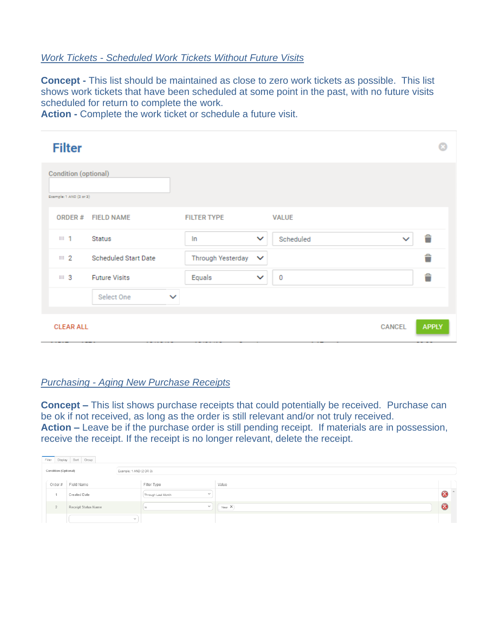#### *Work Tickets - Scheduled Work Tickets Without Future Visits*

**Concept -** This list should be maintained as close to zero work tickets as possible. This list shows work tickets that have been scheduled at some point in the past, with no future visits scheduled for return to complete the work.

**Action -** Complete the work ticket or schedule a future visit.

| <b>Filter</b>                                   |              |                          |              |              |               |              |
|-------------------------------------------------|--------------|--------------------------|--------------|--------------|---------------|--------------|
| Condition (optional)<br>Example: 1 AND (2 or 2) |              |                          |              |              |               |              |
| ORDER#<br><b>FIELD NAME</b>                     |              | <b>FILTER TYPE</b>       |              | <b>VALUE</b> |               |              |
| <b>Status</b><br>III 1                          |              | In                       | $\checkmark$ | Scheduled    | $\checkmark$  | Ê            |
| <b>Scheduled Start Date</b><br>$\cdots$ 2       |              | <b>Through Yesterday</b> | $\checkmark$ |              |               | Ê            |
| <b>EE</b> 3<br><b>Future Visits</b>             |              | Equals                   | $\checkmark$ | 0            |               | Ê            |
| Select One                                      | $\checkmark$ |                          |              |              |               |              |
| <b>CLEAR ALL</b>                                |              |                          |              |              | <b>CANCEL</b> | <b>APPLY</b> |

#### *Purchasing - Aging New Purchase Receipts*

**Concept –** This list shows purchase receipts that could potentially be received. Purchase can be ok if not received, as long as the order is still relevant and/or not truly received. **Action –** Leave be if the purchase order is still pending receipt. If materials are in possession, receive the receipt. If the receipt is no longer relevant, delete the receipt.

|                                                 |        | Filter Display Sort Group |              |                              |       |  |
|-------------------------------------------------|--------|---------------------------|--------------|------------------------------|-------|--|
| Condition (Optional)<br>Example: 1 AND (2 OR 3) |        |                           |              |                              |       |  |
|                                                 | Order# | Field Name                |              | Filter Type                  | Value |  |
|                                                 |        | Created Date              |              | $\sim$<br>Through Last Month |       |  |
|                                                 |        | Receipt Status Name       |              | $\sim$                       | New X |  |
|                                                 |        |                           | $\checkmark$ |                              |       |  |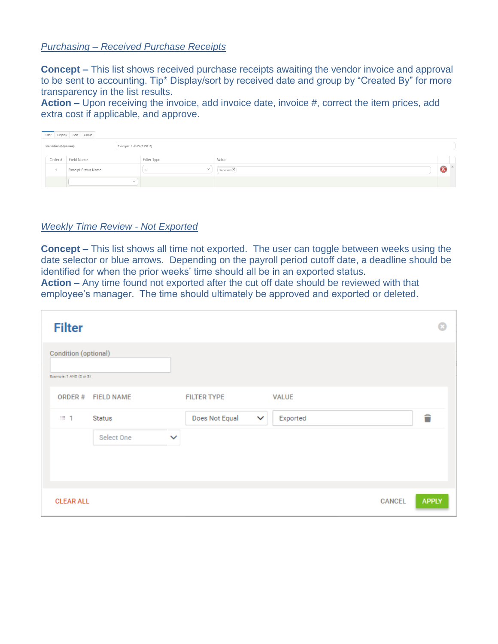#### *Purchasing – Received Purchase Receipts*

**Concept –** This list shows received purchase receipts awaiting the vendor invoice and approval to be sent to accounting. Tip\* Display/sort by received date and group by "Created By" for more transparency in the list results.

**Action –** Upon receiving the invoice, add invoice date, invoice #, correct the item prices, add extra cost if applicable, and approve.

|                                                 |        | Filter Display Sort Group |              |             |            |  |
|-------------------------------------------------|--------|---------------------------|--------------|-------------|------------|--|
| Condition (Optional)<br>Example: 1 AND (2 OR 3) |        |                           |              |             |            |  |
|                                                 | Order# | Field Name                |              | Filter Type | Value      |  |
|                                                 |        | Receipt Status Name       |              |             | Received X |  |
|                                                 |        |                           | $\checkmark$ |             |            |  |

## *Weekly Time Review - Not Exported*

**Concept –** This list shows all time not exported. The user can toggle between weeks using the date selector or blue arrows. Depending on the payroll period cutoff date, a deadline should be identified for when the prior weeks' time should all be in an exported status.

**Action –** Any time found not exported after the cut off date should be reviewed with that employee's manager. The time should ultimately be approved and exported or deleted.

| <b>Filter</b>                                          |              |                    |                          |        |              |
|--------------------------------------------------------|--------------|--------------------|--------------------------|--------|--------------|
| <b>Condition (optional)</b><br>Example: 1 AND (2 or 3) |              |                    |                          |        |              |
| ORDER#<br><b>FIELD NAME</b>                            |              | <b>FILTER TYPE</b> | <b>VALUE</b>             |        |              |
| Ⅲ 1<br>Status                                          |              | Does Not Equal     | $\checkmark$<br>Exported |        | Ê            |
| Select One                                             | $\checkmark$ |                    |                          |        |              |
|                                                        |              |                    |                          |        |              |
| <b>CLEAR ALL</b>                                       |              |                    |                          | CANCEL | <b>APPLY</b> |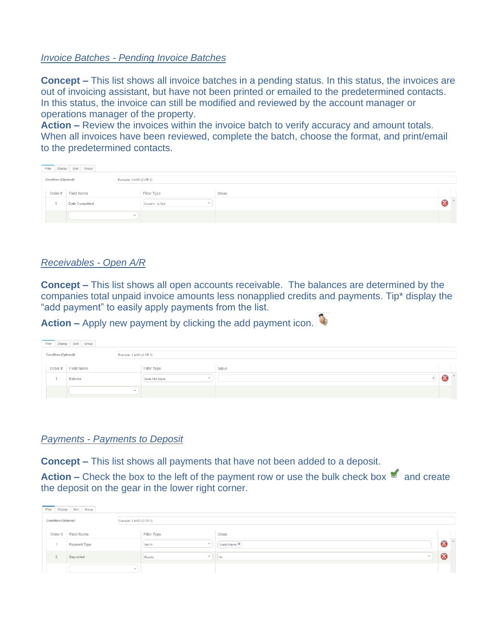#### *Invoice Batches - Pending Invoice Batches*

**Concept –** This list shows all invoice batches in a pending status. In this status, the invoices are out of invoicing assistant, but have not been printed or emailed to the predetermined contacts. In this status, the invoice can still be modified and reviewed by the account manager or operations manager of the property.

**Action –** Review the invoices within the invoice batch to verify accuracy and amount totals. When all invoices have been reviewed, complete the batch, choose the format, and print/email to the predetermined contacts.

|                      | Filter Display Sort Group |                         |                                  |       |  |
|----------------------|---------------------------|-------------------------|----------------------------------|-------|--|
| Condition (Optional) |                           | Example: 1 AND (2 OR 3) |                                  |       |  |
| Order#               | Field Name                |                         | Filter Type                      | Value |  |
|                      | Date Completed            |                         | $\checkmark$<br>Custom - Is Null |       |  |
|                      |                           | $\checkmark$            |                                  |       |  |

#### *Receivables - Open A/R*

**Concept –** This list shows all open accounts receivable. The balances are determined by the companies total unpaid invoice amounts less nonapplied credits and payments. Tip\* display the "add payment" to easily apply payments from the list.

**Action –** Apply new payment by clicking the add payment icon.

|                      |         | Filter Display Sort Group |  |                         |                |              |       |     |
|----------------------|---------|---------------------------|--|-------------------------|----------------|--------------|-------|-----|
| Condition (Optional) |         |                           |  | Example: 1 AND (2 OR 3) |                |              |       |     |
|                      | Order # | Field Name                |  |                         | Filter Type    |              | Value |     |
|                      |         | Balance                   |  |                         | Does Not Equal | $\checkmark$ |       | ΙX. |
|                      |         |                           |  | $\checkmark$            |                |              |       |     |

## *Payments - Payments to Deposit*

**Concept –** This list shows all payments that have not been added to a deposit.

Action – Check the box to the left of the payment row or use the bulk check box and create the deposit on the gear in the lower right corner.

|                      | Filter Display Sort Group |                         |                        |               |          |  |
|----------------------|---------------------------|-------------------------|------------------------|---------------|----------|--|
| Condition (Optional) |                           | Example: 1 AND (2 OR 3) |                        |               |          |  |
| Order#               | Field Name                |                         | Filter Type            | Value         |          |  |
|                      | Payment Type              |                         | $\sim$<br>Not In       | Credit Memo X |          |  |
| $\sim$               | Deposited                 |                         | $\checkmark$<br>Equals | ! No          | $\infty$ |  |
|                      |                           | $\checkmark$            |                        |               |          |  |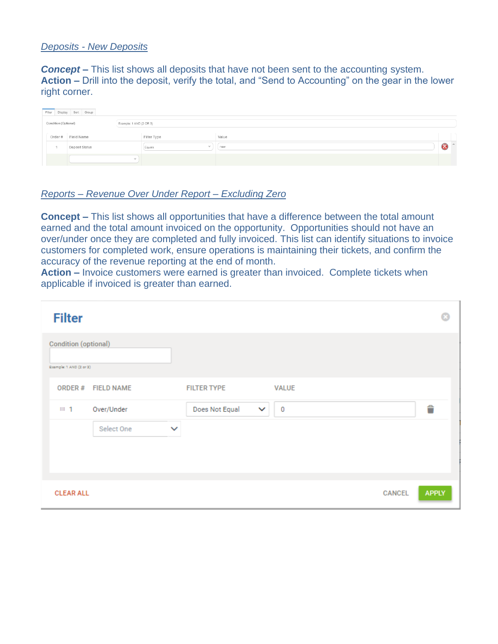## *Deposits - New Deposits*

**Concept** – This list shows all deposits that have not been sent to the accounting system. **Action –** Drill into the deposit, verify the total, and "Send to Accounting" on the gear in the lower right corner.

|                      | Filter Display Sort Group |                         |                  |       |  |
|----------------------|---------------------------|-------------------------|------------------|-------|--|
| Condition (Optional) |                           | Example: 1 AND (2 OR 3) |                  |       |  |
| Order#               | Field Name                |                         | Filter Type      | Value |  |
|                      | Deposit Status            |                         | $\sim$<br>Equals | new   |  |
|                      |                           | $\checkmark$            |                  |       |  |

#### *Reports – Revenue Over Under Report – Excluding Zero*

**Concept –** This list shows all opportunities that have a difference between the total amount earned and the total amount invoiced on the opportunity. Opportunities should not have an over/under once they are completed and fully invoiced. This list can identify situations to invoice customers for completed work, ensure operations is maintaining their tickets, and confirm the accuracy of the revenue reporting at the end of month.

**Action –** Invoice customers were earned is greater than invoiced. Complete tickets when applicable if invoiced is greater than earned.

| <b>Filter</b>                                          |                   |              |                                |              |               |              |
|--------------------------------------------------------|-------------------|--------------|--------------------------------|--------------|---------------|--------------|
| <b>Condition (optional)</b><br>Example: 1 AND (2 or 2) |                   |              |                                |              |               |              |
| ORDER#                                                 | <b>FIELD NAME</b> |              | <b>FILTER TYPE</b>             | <b>VALUE</b> |               |              |
| <b>III</b> 1                                           | Over/Under        |              | Does Not Equal<br>$\checkmark$ | 0            |               | Ê            |
|                                                        | Select One        | $\checkmark$ |                                |              |               |              |
|                                                        |                   |              |                                |              |               |              |
|                                                        |                   |              |                                |              |               |              |
| <b>CLEAR ALL</b>                                       |                   |              |                                |              | <b>CANCEL</b> | <b>APPLY</b> |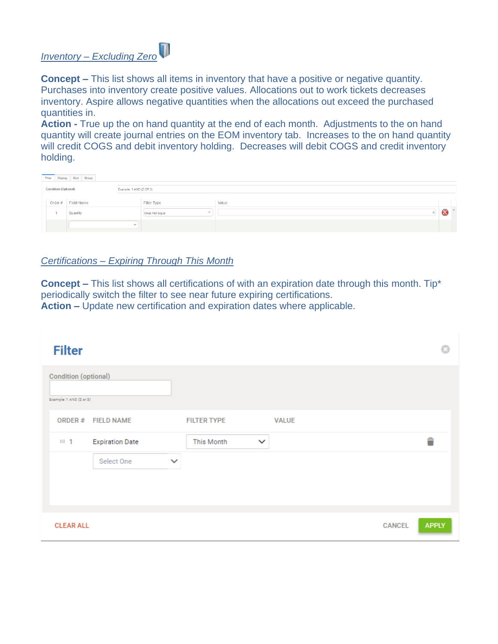# *Inventory – Excluding Zero*

**Concept –** This list shows all items in inventory that have a positive or negative quantity. Purchases into inventory create positive values. Allocations out to work tickets decreases inventory. Aspire allows negative quantities when the allocations out exceed the purchased quantities in.

**Action -** True up the on hand quantity at the end of each month. Adjustments to the on hand quantity will create journal entries on the EOM inventory tab. Increases to the on hand quantity will credit COGS and debit inventory holding. Decreases will debit COGS and credit inventory holding.

|                      | Filter Display Sort Group |                         |                          |       |  |
|----------------------|---------------------------|-------------------------|--------------------------|-------|--|
| Condition (Optional) |                           | Example: 1 AND (2 OR 3) |                          |       |  |
|                      | Order # Field Name        |                         | Filter Type              | Value |  |
|                      | Quantity                  |                         | $\sim$<br>Does Not Equal |       |  |
|                      |                           | $\checkmark$            |                          |       |  |

## *Certifications – Expiring Through This Month*

**Concept –** This list shows all certifications of with an expiration date through this month. Tip\* periodically switch the filter to see near future expiring certifications. **Action –** Update new certification and expiration dates where applicable.

| <b>Filter</b>                                          |                        |              |                            |              |        |              |
|--------------------------------------------------------|------------------------|--------------|----------------------------|--------------|--------|--------------|
| <b>Condition (optional)</b><br>Example: 1 AND (2 or 3) |                        |              |                            |              |        |              |
| ORDER#                                                 | <b>FIELD NAME</b>      |              | <b>FILTER TYPE</b>         | <b>VALUE</b> |        |              |
| <b>田</b> 1                                             | <b>Expiration Date</b> |              | This Month<br>$\checkmark$ |              |        | Ê            |
|                                                        | Select One             | $\checkmark$ |                            |              |        |              |
|                                                        |                        |              |                            |              |        |              |
|                                                        |                        |              |                            |              |        |              |
| <b>CLEAR ALL</b>                                       |                        |              |                            |              | CANCEL | <b>APPLY</b> |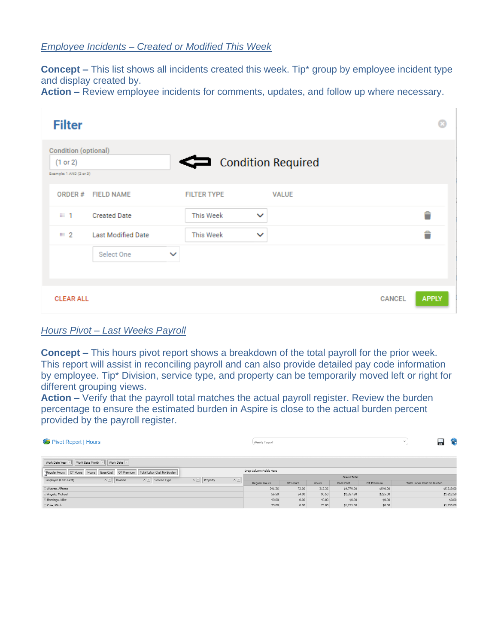## *Employee Incidents – Created or Modified This Week*

**Concept –** This list shows all incidents created this week. Tip<sup>\*</sup> group by employee incident type and display created by.

**Action –** Review employee incidents for comments, updates, and follow up where necessary.

| <b>Filter</b>                                               |              |                    |              |              |        |              |
|-------------------------------------------------------------|--------------|--------------------|--------------|--------------|--------|--------------|
| Condition (optional)<br>(1 or 2)<br>Example: 1 AND (2 or 2) |              | Condition Required |              |              |        |              |
| <b>FIELD NAME</b><br>ORDER#                                 |              | <b>FILTER TYPE</b> |              | <b>VALUE</b> |        |              |
| <b>Created Date</b><br>III 1                                |              | <b>This Week</b>   | $\checkmark$ |              |        | Ê            |
| <b>Last Modified Date</b><br>$\mathbb{H}$ 2                 |              | <b>This Week</b>   | $\checkmark$ |              |        | Ê            |
| Select One                                                  | $\checkmark$ |                    |              |              |        |              |
| <b>CLEAR ALL</b>                                            |              |                    |              |              | CANCEL | <b>APPLY</b> |

## *Hours Pivot – Last Weeks Payroll*

**Concept –** This hours pivot report shows a breakdown of the total payroll for the prior week. This report will assist in reconciling payroll and can also provide detailed pay code information by employee. Tip\* Division, service type, and property can be temporarily moved left or right for different grouping views.

**Action –** Verify that the payroll total matches the actual payroll register. Review the burden percentage to ensure the estimated burden in Aspire is close to the actual burden percent provided by the payroll register.

| Pivot Report   Hours                                                                  |                                                                       | Weekly Payroll          |          |        |                  |            | $\checkmark$               | 2 | f.         |
|---------------------------------------------------------------------------------------|-----------------------------------------------------------------------|-------------------------|----------|--------|------------------|------------|----------------------------|---|------------|
| Work Date Month V Work Date V<br>Work Date Year                                       |                                                                       |                         |          |        |                  |            |                            |   |            |
| Regular Hours OT Hours Hours<br>Total Labor Cost No Burden<br>Base Cost   OT Premium  |                                                                       | Drop Column Fields Here |          |        |                  |            |                            |   |            |
| Division<br>$\Delta$ $\vee$ Service Type<br>Employee (Last, First)<br>$\Delta$ $\vee$ | $\Delta$ $\overline{\phantom{a}}$<br>$\Delta$ $\boxed{\vee}$ Property |                         |          |        | Grand Total      |            |                            |   |            |
|                                                                                       |                                                                       | Regular Hours           | OT Hours | Hours  | <b>Base Cost</b> | OT Premium | Total Labor Cost No Burden |   |            |
| Alvarez, Alfonso                                                                      |                                                                       | 241.36                  | 72.00    | 313.36 | \$4,779.00       | \$540.00   |                            |   | \$5,319.00 |
| Angelo, Michael                                                                       |                                                                       | 56.50                   | 34.00    | 90.50  | \$1,357.50       | \$255.00   |                            |   | \$1,612.50 |
| Boeringa, Mike                                                                        |                                                                       | 40.00                   | 0.00     | 40.00  | \$0.00           | \$0.00     |                            |   | \$0.00     |
| Ocle, Mitch                                                                           |                                                                       | 79.00                   | 0.00     | 79.00  | \$1,255.00       | \$0.00     |                            |   | \$1,255.00 |
|                                                                                       |                                                                       |                         |          |        |                  |            |                            |   |            |